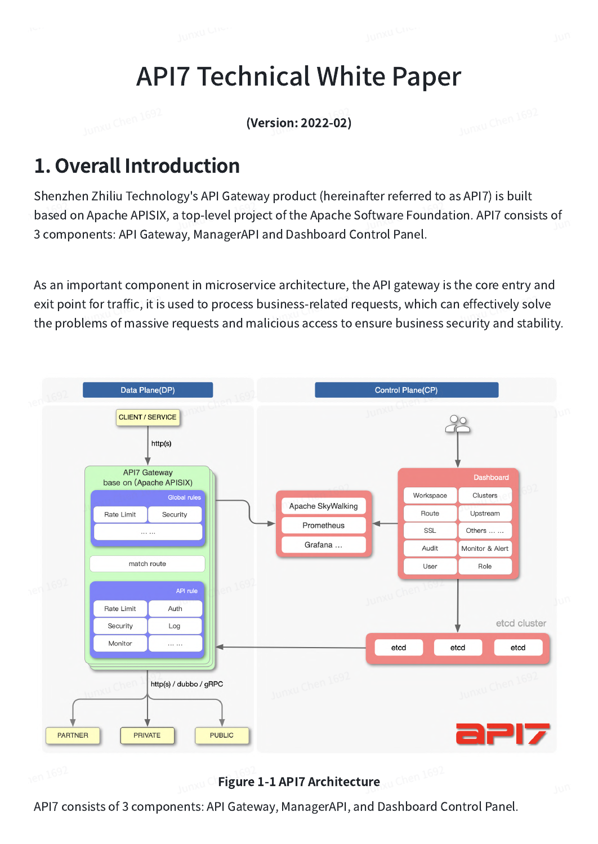# API7 Technical White Paper

(Version: 2022-02)

# 1. Overall Introduction

Shenzhen Zhiliu Technology's API Gateway product (hereinafter referred to as API7) is built based on Apache APISIX, a top-level project of the Apache Software Foundation. API7 consists of 3 components: API Gateway, ManagerAPI and Dashboard Control Panel.

As an important component in microservice architecture, the API gateway is the core entry and exit point for traffic, it is used to process business-related requests, which can effectively solve the problems of massive requests and malicious access to ensure business security and stability.



Figure 1-1 API7 Architecture

API7 consists of 3 components: API Gateway, ManagerAPI, and Dashboard Control Panel.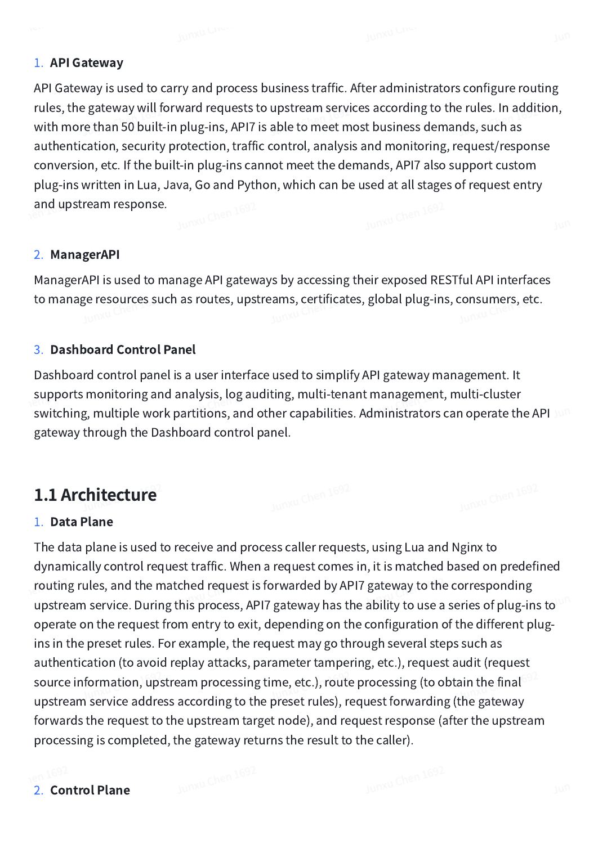#### 1. API Gateway

API Gateway is used to carry and process business traffic. After administrators configure routing rules, the gateway will forward requests to upstream services according to the rules. In addition, with more than 50 built-in plug-ins, API7 is able to meet most business demands, such as authentication, security protection, traffic control, analysis and monitoring, request/response conversion, etc. If the built-in plug-ins cannot meet the demands, API7 also support custom plug-ins written in Lua, Java, Go and Python, which can be used at all stages of request entry and upstream response.

#### 2. ManagerAPI

ManagerAPI is used to manage API gateways by accessing their exposed RESTful API interfaces to manage resources such as routes, upstreams, certificates, global plug-ins, consumers, etc.

#### 3. Dashboard Control Panel

Dashboard control panel is a user interface used to simplify API gateway management. It supports monitoring and analysis, log auditing, multi-tenant management, multi-cluster switching, multiple work partitions, and other capabilities. Administrators can operate the API Jun gateway through the Dashboard control panel.

# 1.1 Architecture

#### 1. Data Plane

The data plane is used to receive and process caller requests, using Lua and Nginx to dynamically control request traffic. When a request comes in, it is matched based on predefined routing rules, and the matched request is forwarded by API7 gateway to the corresponding upstream service. During this process, API7 gateway has the ability to use a series of plug-ins to operate on the request from entry to exit, depending on the configuration of the different plugins in the preset rules. For example, the request may go through several steps such as authentication (to avoid replay attacks, parameter tampering, etc.), request audit (request source information, upstream processing time, etc.), route processing (to obtain the final upstream service address according to the preset rules), request forwarding (the gateway forwards the request to the upstream target node), and request response (after the upstream processing is completed, the gateway returns the result to the caller).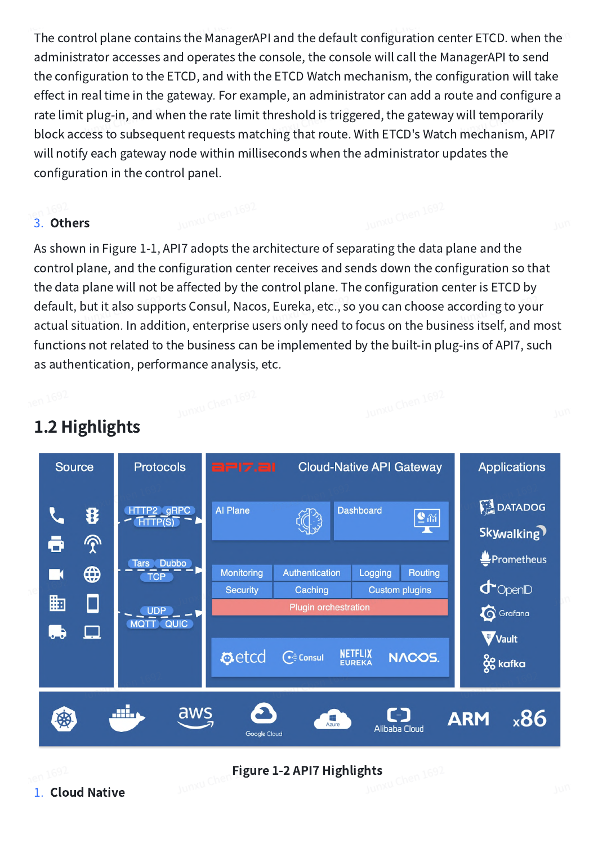The control plane contains the ManagerAPI and the default configuration center ETCD. when the administrator accesses and operates the console, the console will call the ManagerAPI to send the configuration to the ETCD, and with the ETCD Watch mechanism, the configuration will take effect in real time in the gateway. For example, an administrator can add a route and configure a rate limit plug-in, and when the rate limit threshold is triggered, the gateway will temporarily block access to subsequent requests matching that route. With ETCD's Watch mechanism, API7 will notify each gateway node within milliseconds when the administrator updates the configuration in the control panel.

#### 3. Others

As shown in Figure 1-1, API7 adopts the architecture of separating the data plane and the control plane, and the configuration center receives and sends down the configuration so that the data plane will not be affected by the control plane. The configuration center is ETCD by default, but it also supports Consul, Nacos, Eureka, etc., so you can choose according to your actual situation. In addition, enterprise users only need to focus on the business itself, and most functions not related to the business can be implemented by the built-in plug-ins of API7, such as authentication, performance analysis, etc.



# 1.2 Highlights

# Figure 1-2 API7 Highlights **Figure 1-2 API7**

1. Cloud Native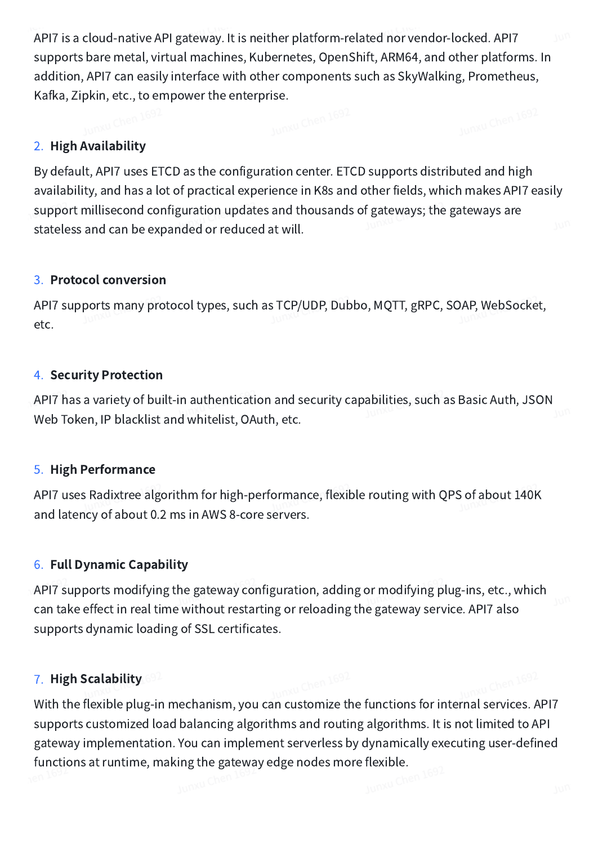API7 is a cloud-native API gateway. It is neither platform-related nor vendor-locked. API7 supports bare metal, virtual machines, Kubernetes, OpenShift, ARM64, and other platforms. In addition, API7 can easily interface with other components such as SkyWalking, Prometheus, Kafka, Zipkin, etc., to empower the enterprise.<br>Notice the state of the state of the state of the state of the state of the state of the state of the state of the state of the state of the state of the state of the state

#### 2. High Availability

By default, API7 uses ETCD as the configuration center. ETCD supports distributed and high availability, and has a lot of practical experience in K8s and other fields, which makes API7 easily support millisecond configuration updates and thousands of gateways; the gateways are stateless and can be expanded or reduced at will.

#### 3. Protocol conversion

API7 supports many protocol types, such as TCP/UDP, Dubbo, MQTT, gRPC, SOAP, WebSocket, etc.

#### 4. Security Protection

API7 has a variety of built-in authentication and security capabilities, such as Basic Auth, JSON Web Token, IP blacklist and whitelist, OAuth, etc.

#### 5. High Performance

API7 uses Radixtree algorithm for high-performance, flexible routing with QPS of about 140K and latency of about 0.2 ms in AWS 8-core servers.

#### 6. Full Dynamic Capability

API7 supports modifying the gateway configuration, adding or modifying plug-ins, etc., which can take effect in real time without restarting or reloading the gateway service. API7 also supports dynamic loading of SSL certificates.

#### 7. High Scalability

With the flexible plug-in mechanism, you can customize the functions for internal services. API7 supports customized load balancing algorithms and routing algorithms. It is not limited to API gateway implementation. You can implement serverless by dynamically executing user-defined functions at runtime, making the gateway edge nodes more flexible.<br>en:1692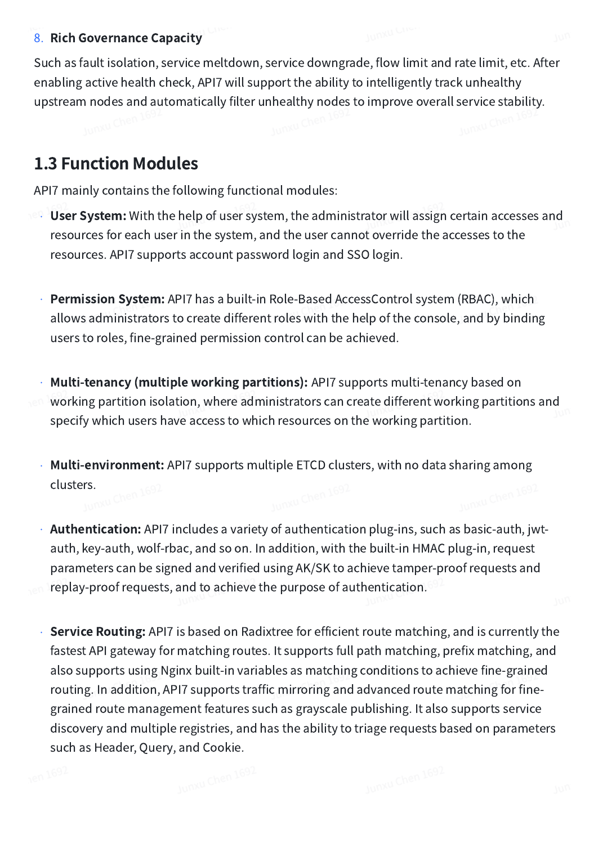#### 8. Rich Governance Capacity

Such as fault isolation, service meltdown, service downgrade, flow limit and rate limit, etc. After enabling active health check, API7 will support the ability to intelligently track unhealthy upstream nodes and automatically filter unhealthy nodes to improve overall service stability.

# 1.3 Function Modules

API7 mainly contains the following functional modules:

- User System: With the help of user system, the administrator will assign certain accesses and resources for each user in the system, and the user cannot override the accesses to the resources. API7 supports account password login and SSO login. •
- **Permission System:** API7 has a built-in Role-Based AccessControl system (RBAC), which allows administrators to create different roles with the help of the console, and by binding users to roles, fine-grained permission control can be achieved.
- Multi-tenancy (multiple working partitions): API7 supports multi-tenancy based on working partition isolation, where administrators can create different working partitions and specify which users have access to which resources on the working partition. •
- $\cdot$  Multi-environment: API7 supports multiple ETCD clusters, with no data sharing among **clusters.**<br>www.chen.1697
- $\cdot$  **Authentication:** API7 includes a variety of authentication plug-ins, such as basic-auth, jwtauth, key-auth, wolf-rbac, and so on. In addition, with the built-in HMAC plug-in, request parameters can be signed and verified using AK/SK to achieve tamper-proof requests and replay-proof requests, and to achieve the purpose of authentication.
- **Service Routing:** API7 is based on Radixtree for efficient route matching, and is currently the fastest API gateway for matching routes. It supports full path matching, prefix matching, and also supports using Nginx built-in variables as matching conditions to achieve fine-grained routing. In addition, API7 supports traffic mirroring and advanced route matching for finegrained route management features such as grayscale publishing. It also supports service discovery and multiple registries, and has the ability to triage requests based on parameters such as Header, Query, and Cookie. •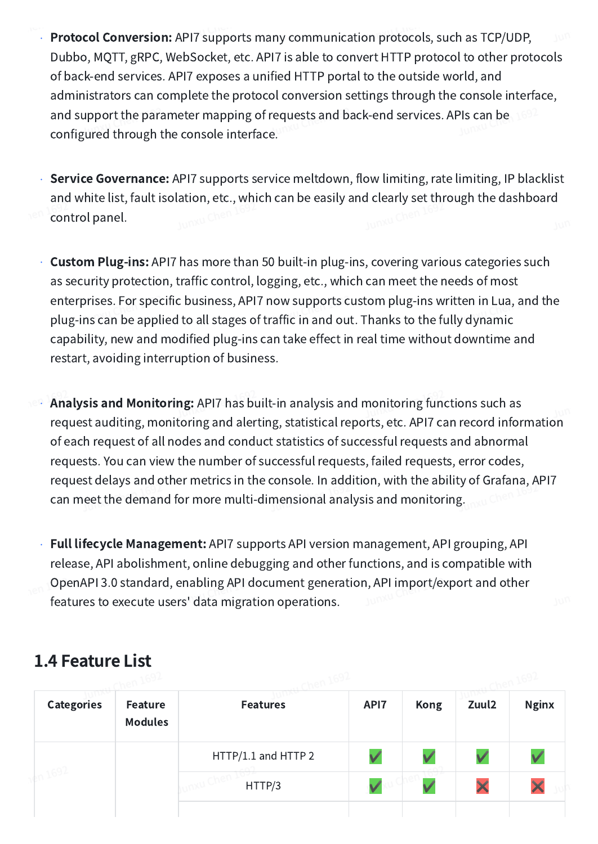- Protocol Conversion: API7 supports many communication protocols, such as TCP/UDP, Dubbo, MQTT, gRPC, WebSocket, etc. API7 is able to convert HTTP protocol to other protocols of back-end services. API7 exposes a unified HTTP portal to the outside world, and administrators can complete the protocol conversion settings through the console interface, and support the parameter mapping of requests and back-end services. APIs can be configured through the console interface. •
- Service Governance: API7 supports service meltdown, flow limiting, rate limiting, IP blacklist and white list, fault isolation, etc., which can be easily and clearly set through the dashboard control panel. •
- $\cdot$  **Custom Plug-ins:** API7 has more than 50 built-in plug-ins, covering various categories such as security protection, traffic control, logging, etc., which can meet the needs of most enterprises. For specific business, API7 now supports custom plug-ins written in Lua, and the plug-ins can be applied to all stages of traffic in and out. Thanks to the fully dynamic capability, new and modified plug-ins can take effect in real time without downtime and restart, avoiding interruption of business.
- Analysis and Monitoring: API7 has built-in analysis and monitoring functions such as request auditing, monitoring and alerting, statistical reports, etc. API7 can record information of each request of all nodes and conduct statistics of successful requests and abnormal requests. You can view the number of successful requests, failed requests, error codes, request delays and other metrics in the console. In addition, with the ability of Grafana, API7 can meet the demand for more multi-dimensional analysis and monitoring. •
- Full lifecycle Management: API7 supports API version management, API grouping, API release, API abolishment, online debugging and other functions, and is compatible with OpenAPI 3.0 standard, enabling API document generation, API import/export and other features to execute users' data migration operations.

# 1.4 Feature List

| <b>Categories</b> | <b>Feature</b><br><b>Modules</b> | <b>Features</b>     | API7 | <b>Kong</b> | Zuul2 | <b>Nginx</b> |  |  |
|-------------------|----------------------------------|---------------------|------|-------------|-------|--------------|--|--|
|                   |                                  | HTTP/1.1 and HTTP 2 | V    |             |       |              |  |  |
|                   |                                  | HTTP/3              |      |             |       |              |  |  |
|                   |                                  |                     |      |             |       |              |  |  |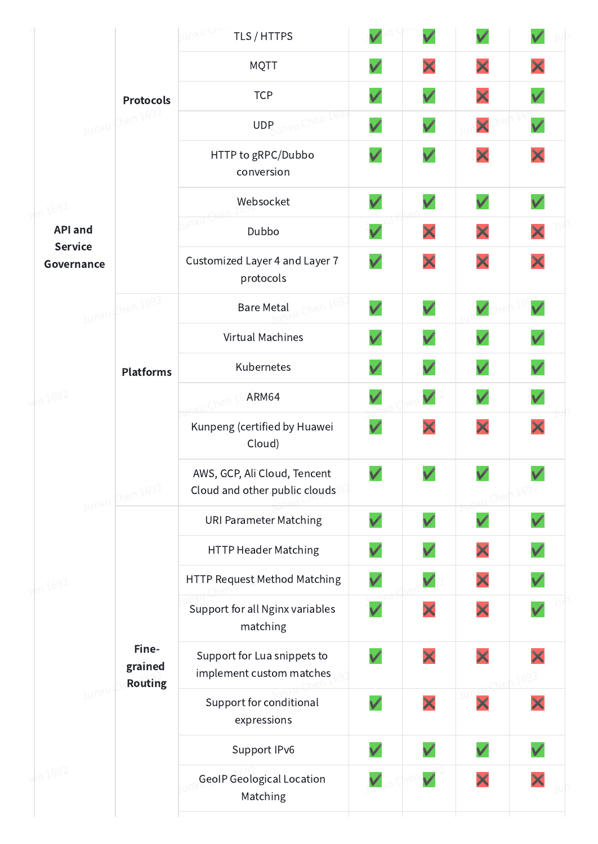|                              |                | TLS / HTTPS                                                   |                          | $\checkmark$  |               |                          |  |
|------------------------------|----------------|---------------------------------------------------------------|--------------------------|---------------|---------------|--------------------------|--|
|                              |                | <b>MQTT</b>                                                   |                          | ×             | ×             | X                        |  |
| <b>Protocols</b>             |                | <b>TCP</b>                                                    | $\checkmark$             | $\checkmark$  | ×             | $\checkmark$             |  |
| then 169<br>Junxul           |                | W Chen 1<br><b>UDP</b>                                        | $\checkmark$             | $\checkmark$  | ×             | $\checkmark$             |  |
|                              |                | HTTP to gRPC/Dubbo<br>conversion                              | $\checkmark$             | $\checkmark$  | X             | X                        |  |
| n1692                        |                | Websocket                                                     |                          |               | $\checkmark$  |                          |  |
| <b>API and</b>               |                | unxu<br>Dubbo                                                 | $\checkmark$             | X             | ×             | ×                        |  |
| <b>Service</b><br>Governance |                | Customized Layer 4 and Layer 7<br>protocols                   | $\checkmark$             | ×             | ×             | X                        |  |
| Junxu Chen 1692              |                | <b>Bare Metal</b>                                             | $\checkmark$             | $\checkmark$  | $\checkmark$  | $\checkmark$             |  |
|                              |                | Virtual Machines                                              | $\checkmark$             | $\checkmark$  | $\checkmark$  | $\checkmark$             |  |
| <b>Platforms</b>             |                | Kubernetes                                                    |                          | $\checkmark$  | $\checkmark$  |                          |  |
| 180 1692                     |                | ARM64                                                         |                          | $\checkmark$  | $\checkmark$  |                          |  |
|                              |                | Kunpeng (certified by Huawei<br>Cloud)                        | $\checkmark$             | X             | ×             | X                        |  |
| Junxu Chen 1692              |                | AWS, GCP, Ali Cloud, Tencent<br>Cloud and other public clouds | $\overline{\phantom{a}}$ | $\mathscr{L}$ | $\mathcal{L}$ | $\overline{\phantom{a}}$ |  |
|                              |                | <b>URI Parameter Matching</b>                                 | $\checkmark$             | $\checkmark$  | $\checkmark$  |                          |  |
|                              |                | <b>HTTP Header Matching</b>                                   | V                        |               | X             |                          |  |
| $kn$ 1692                    |                | HTTP Request Method Matching                                  |                          | $\checkmark$  | X             |                          |  |
|                              |                | Support for all Nginx variables<br>matching                   | $\checkmark$             |               | X             |                          |  |
| Fine-<br>grained             | <b>Routing</b> | Support for Lua snippets to<br>implement custom matches       |                          | X             | ×             |                          |  |
| Junxu                        |                | Support for conditional<br>expressions                        |                          |               |               |                          |  |
|                              |                | Support IPv6                                                  |                          |               |               |                          |  |
| $\frac{1}{20}$ 1692          |                | <b>GeoIP Geological Location</b><br>Matching                  |                          |               | X             |                          |  |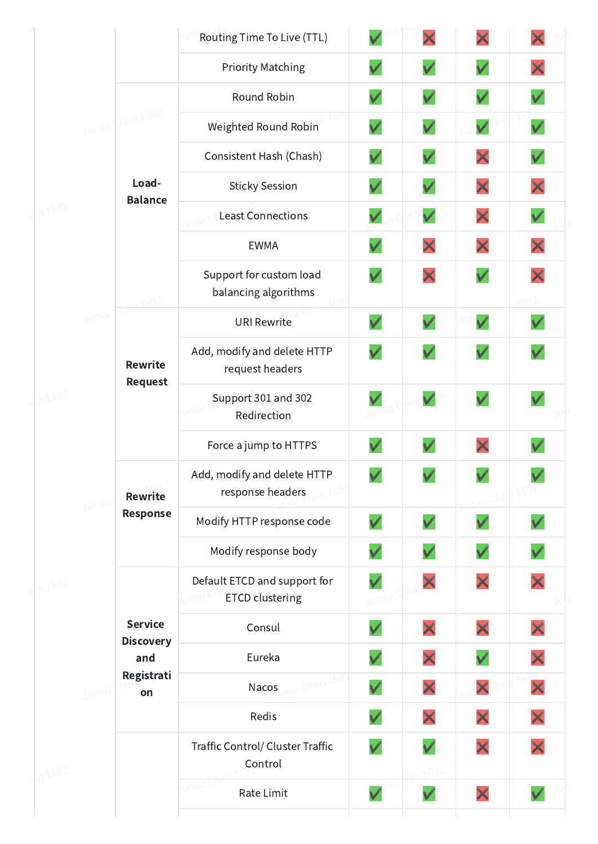|          |        |                                  | Routing Time To Live (TTL)                             |              | ×            | X            |              |
|----------|--------|----------------------------------|--------------------------------------------------------|--------------|--------------|--------------|--------------|
|          |        |                                  | <b>Priority Matching</b>                               | $\checkmark$ | $\checkmark$ | $\checkmark$ |              |
|          |        |                                  | Round Robin                                            | $\checkmark$ | $\checkmark$ | $\checkmark$ | $\checkmark$ |
|          |        | Junxu Chen 1692                  | Weighted Round Robin                                   | $\checkmark$ | $\checkmark$ | $\checkmark$ | $\checkmark$ |
|          |        |                                  | Consistent Hash (Chash)                                | $\checkmark$ | $\checkmark$ | X            | $\checkmark$ |
|          |        | Load-                            | <b>Sticky Session</b>                                  | $\checkmark$ | $\checkmark$ | X            |              |
| 1¢n 1692 |        | <b>Balance</b>                   | <b>Least Connections</b>                               | $\checkmark$ | $\checkmark$ | X            | $\checkmark$ |
|          |        |                                  | <b>EWMA</b>                                            | $\checkmark$ | ×            | ×            | X            |
|          |        | 169'                             | Support for custom load<br>balancing algorithms        | V            | ×            | $\checkmark$ |              |
|          | Junxul | We                               | <b>URI Rewrite</b>                                     | $\checkmark$ | $\checkmark$ | $\checkmark$ |              |
| 1en 1692 |        | <b>Rewrite</b><br><b>Request</b> | Add, modify and delete HTTP<br>request headers         | $\checkmark$ | $\checkmark$ | $\checkmark$ |              |
|          |        |                                  | Support 301 and 302<br>Redirection                     |              |              | $\checkmark$ |              |
|          |        |                                  | Force a jump to HTTPS                                  |              | $\checkmark$ | X            |              |
|          |        | <b>Rewrite</b>                   | Add, modify and delete HTTP<br>response headers        | $\checkmark$ |              | $\checkmark$ |              |
|          | Junxu  | Response                         | Modify HTTP response code                              | $\checkmark$ | $\checkmark$ | $\checkmark$ |              |
|          |        |                                  | Modify response body                                   | $\checkmark$ | $\checkmark$ | $\checkmark$ | $\checkmark$ |
| 1¢n 1692 |        |                                  | Default ETCD and support for<br><b>ETCD clustering</b> |              | X            | ×            |              |
|          |        | <b>Service</b>                   | Consul                                                 | $\checkmark$ | X            | X            |              |
|          |        | <b>Discovery</b><br>and          | Eureka                                                 |              | ×            | $\checkmark$ |              |
|          | Junxu  | Registrati<br>on                 | Nacos                                                  | $\checkmark$ | ×            | ×            | ×            |
|          |        |                                  | Redis                                                  | $\checkmark$ | ×            | X            | ×            |
| 1692     |        |                                  | Traffic Control/ Cluster Traffic<br>Control            | $\checkmark$ | $\checkmark$ | X            |              |
|          |        |                                  | Rate Limit                                             | $\checkmark$ | $\checkmark$ | ×            | $\checkmark$ |
|          |        |                                  |                                                        |              |              |              |              |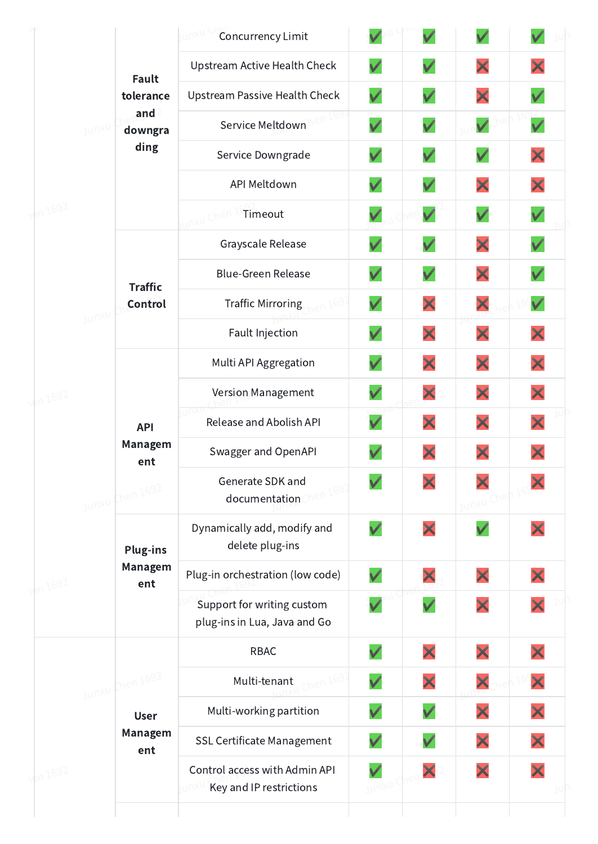|          |       |                                                 | <b>Concurrency Limit</b>                                   |              |              |              |              |
|----------|-------|-------------------------------------------------|------------------------------------------------------------|--------------|--------------|--------------|--------------|
|          |       | <b>Fault</b>                                    | Upstream Active Health Check                               | $\checkmark$ | $\checkmark$ | X            | X            |
|          |       | tolerance                                       | Upstream Passive Health Check                              | $\checkmark$ | $\checkmark$ | ×            | $\checkmark$ |
|          |       | and<br>downgra                                  | Service Meltdown                                           | $\checkmark$ | $\checkmark$ | $\checkmark$ | $\checkmark$ |
|          |       | ding                                            | Service Downgrade                                          | $\checkmark$ | $\checkmark$ | $\checkmark$ | ×            |
|          |       |                                                 | API Meltdown                                               | $\checkmark$ | $\checkmark$ | ×            | X            |
| 4n1692   |       |                                                 | Timeout                                                    |              | $\checkmark$ | $\checkmark$ | $\checkmark$ |
|          |       |                                                 | Grayscale Release                                          | $\checkmark$ | $\checkmark$ | ×            |              |
|          |       | <b>Traffic</b>                                  | <b>Blue-Green Release</b>                                  | $\checkmark$ | $\checkmark$ | X            | $\checkmark$ |
|          | Junxu | Control                                         | Traffic Mirroring                                          | $\checkmark$ | ×            | ×            | $\checkmark$ |
|          |       |                                                 | Fault Injection                                            | $\checkmark$ | ×            | ×            | ×            |
|          |       | <b>API</b><br>Managem<br>ent<br>Junxu Chen 1692 | Multi API Aggregation                                      | $\checkmark$ | ×            | ×            | ×            |
| 1692     |       |                                                 | Version Management                                         |              | ×            | ×            | X            |
|          |       |                                                 | Release and Abolish API                                    |              | ×            | ×            | X            |
|          |       |                                                 | Swagger and OpenAPI                                        | $\checkmark$ | X            | ×            |              |
|          |       |                                                 | Generate SDK and<br>documentation                          |              |              |              |              |
|          |       | <b>Plug-ins</b><br>Managem<br>ent               | Dynamically add, modify and<br>delete plug-ins             | $\checkmark$ | ×            | $\checkmark$ |              |
|          |       |                                                 | Plug-in orchestration (low code)                           | $\checkmark$ | ×            | ×            |              |
| 1¢n 1692 |       |                                                 | Support for writing custom<br>plug-ins in Lua, Java and Go |              | $\checkmark$ | X            |              |
|          |       |                                                 | <b>RBAC</b>                                                | $\checkmark$ | ×            | ×            | X            |
|          |       | Junxu Chen 1692                                 | Multi-tenant                                               | $\checkmark$ | ×            | ×            | ×            |
|          |       | <b>User</b>                                     | Multi-working partition                                    | $\checkmark$ | $\checkmark$ | X            | X            |
|          |       | Managem<br>ent                                  | SSL Certificate Management                                 |              |              | X            |              |
| 14n 1692 |       |                                                 | Control access with Admin API<br>Key and IP restrictions   | Junxu L      | X            | ×            |              |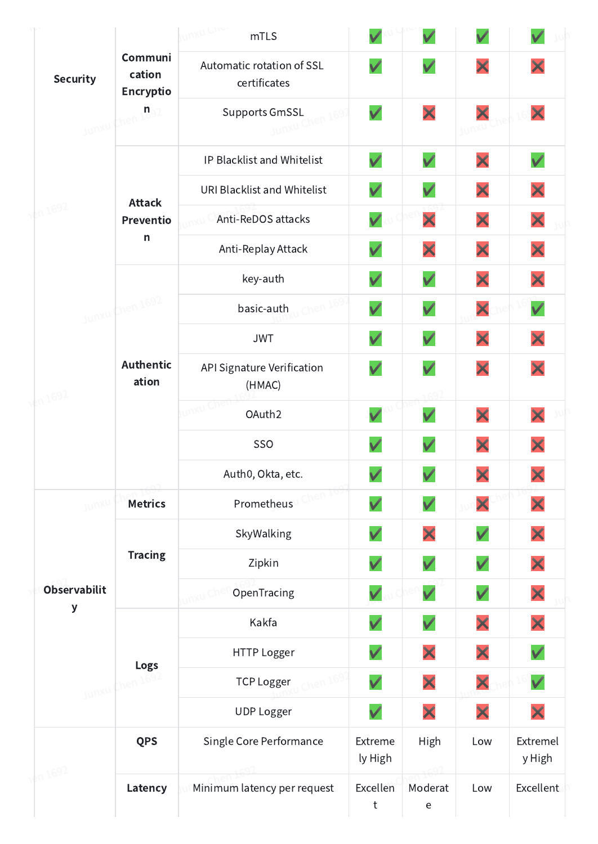|                     |                                | unxu che<br>mTLS                          |                    |              | $\checkmark$          |                    |
|---------------------|--------------------------------|-------------------------------------------|--------------------|--------------|-----------------------|--------------------|
| <b>Security</b>     | Communi<br>cation<br>Encryptio | Automatic rotation of SSL<br>certificates | $\checkmark$       | $\checkmark$ | X                     |                    |
|                     | Junxu Chen 109.                | <b>Supports GmSSL</b><br>Junxu Chen 169   | $\checkmark$       | ×            | X                     | X                  |
|                     |                                | IP Blacklist and Whitelist                | $\checkmark$       | $\checkmark$ | ×                     | $\checkmark$       |
|                     | <b>Attack</b>                  | URI Blacklist and Whitelist               | $\checkmark$       | $\checkmark$ | X                     | X                  |
| 180 1692            | Preventio                      | Anti-ReDOS attacks                        |                    | ×            | ×                     | X                  |
|                     | $\mathsf{n}$                   | Anti-Replay Attack                        | $\checkmark$       | ×            | ×                     | X                  |
|                     |                                | key-auth                                  | $\checkmark$       | $\checkmark$ | ×                     | X                  |
|                     | Junxu Chen 1692                | basic-auth                                | $\checkmark$       | $\checkmark$ | ×                     | $\checkmark$       |
|                     |                                | <b>JWT</b>                                |                    | $\checkmark$ | ×                     | X                  |
| 187 1692            | <b>Authentic</b><br>ation      | API Signature Verification<br>(HMAC)      |                    | $\checkmark$ | ×                     | X                  |
|                     |                                | unxu Cher<br>OAuth2                       |                    |              | ×                     |                    |
|                     |                                | <b>SSO</b>                                |                    | $\checkmark$ | ×                     |                    |
|                     |                                | Auth0, Okta, etc.                         |                    | $\checkmark$ | $\blacktriangleright$ | X                  |
| Junxu               | <b>Metrics</b>                 | Prometheus                                |                    | $\checkmark$ | ×                     |                    |
|                     |                                | SkyWalking                                |                    | ×            | $\checkmark$          | ×                  |
|                     | <b>Tracing</b>                 | Zipkin                                    | $\checkmark$       | $\checkmark$ | $\checkmark$          |                    |
| <b>Observabilit</b> |                                | OpenTracing                               |                    | $\checkmark$ | $\checkmark$          | ×                  |
| У                   |                                | Kakfa                                     | $\checkmark$       | $\checkmark$ | X                     |                    |
|                     | Logs                           | HTTP Logger                               | V                  | ×            | ×                     | $\checkmark$       |
|                     | Junxu Chen 165                 | <b>TCP Logger</b>                         | $\checkmark$       | ×            | X                     | $\checkmark$       |
|                     |                                | <b>UDP Logger</b>                         | V                  | ×            | ×                     | X                  |
|                     | <b>QPS</b>                     | Single Core Performance                   | Extreme<br>ly High | <b>High</b>  | Low                   | Extremel<br>y High |
| 4n1692              | Latency                        | Minimum latency per request               | Excellen<br>t      | Moderat<br>e | Low                   | <b>Excellent</b>   |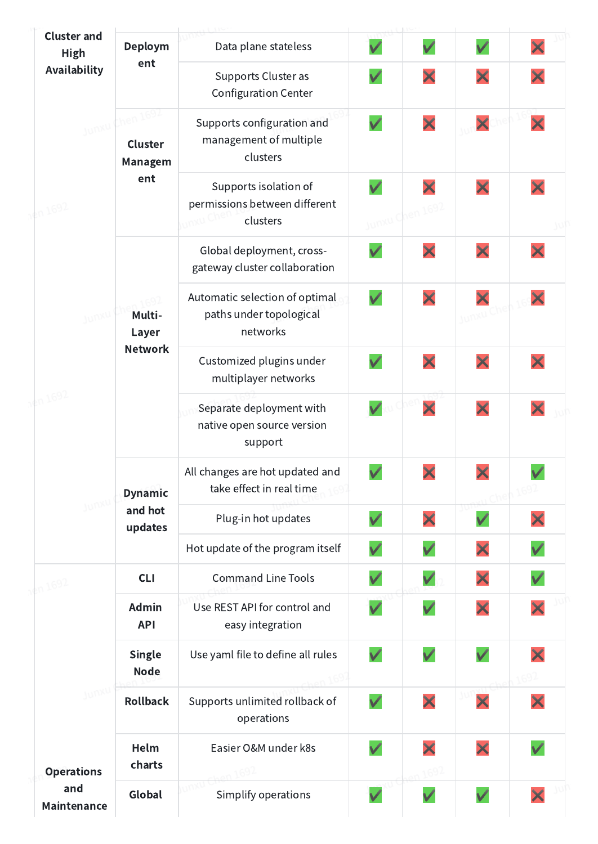| <b>Cluster and</b><br><b>High</b> | Deploym                                      | Data plane stateless                                                  | $\checkmark$                | $\checkmark$ |   |              |  |
|-----------------------------------|----------------------------------------------|-----------------------------------------------------------------------|-----------------------------|--------------|---|--------------|--|
| Availability                      | ent                                          | Supports Cluster as<br><b>Configuration Center</b>                    | $\checkmark$                | X            | X | X            |  |
|                                   | Junxu Chen 1692<br>Cluster<br><b>Managem</b> | Supports configuration and<br>management of multiple<br>clusters      | $\checkmark$                | X            | X | X            |  |
| $kn$ 1692                         | ent                                          | Supports isolation of<br>permissions between different<br>clusters    | $\checkmark$<br>Junxu Chen. |              | X | X            |  |
|                                   |                                              | Global deployment, cross-<br>gateway cluster collaboration            | $\checkmark$                | X            | X |              |  |
| Junxu<br>kn 1692                  | Multi-<br>Layer                              | Automatic selection of optimal<br>paths under topological<br>networks | $\checkmark$                | X            |   | X            |  |
|                                   | <b>Network</b>                               | Customized plugins under<br>multiplayer networks                      | $\checkmark$                |              | X |              |  |
|                                   |                                              | Separate deployment with<br>native open source version<br>support     | $\checkmark$                | X            | X | X            |  |
|                                   | <b>Dynamic</b><br>and hot<br>updates         | All changes are hot updated and<br>take effect in real time           |                             |              |   |              |  |
|                                   |                                              | Plug-in hot updates                                                   | $\checkmark$                | X            |   |              |  |
|                                   |                                              | Hot update of the program itself                                      | $\checkmark$                |              |   |              |  |
|                                   | <b>CLI</b>                                   | <b>Command Line Tools</b>                                             | $\checkmark$                |              | X |              |  |
|                                   | Admin<br><b>API</b>                          | Use REST API for control and<br>easy integration                      | $\checkmark$                | $\checkmark$ | X | X            |  |
|                                   | <b>Single</b><br><b>Node</b>                 | Use yaml file to define all rules                                     | $\checkmark$                | $\checkmark$ |   |              |  |
|                                   | <b>Rollback</b>                              | Supports unlimited rollback of<br>operations                          | $\checkmark$                | X            | X | X            |  |
| <b>Operations</b>                 | Helm<br>charts                               | Easier O&M under k8s                                                  | $\checkmark$                |              | X | $\checkmark$ |  |
| and<br>Maintenance                | Global                                       | Simplify operations                                                   | V                           |              |   | X            |  |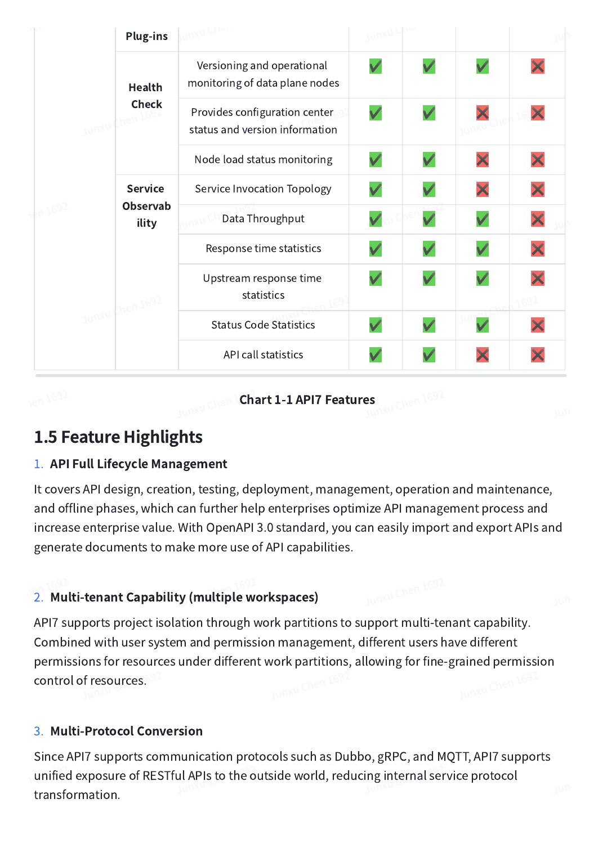|        |            | <b>Plug-ins</b>                     | <b>DKU CITO</b>                                                 |              |              |              |   |
|--------|------------|-------------------------------------|-----------------------------------------------------------------|--------------|--------------|--------------|---|
|        |            | Health                              | Versioning and operational<br>monitoring of data plane nodes    | $\checkmark$ | $\checkmark$ | $\checkmark$ |   |
|        | Junxu Chen | <b>Check</b>                        | Provides configuration center<br>status and version information | $\checkmark$ | $\checkmark$ |              |   |
|        |            |                                     | Node load status monitoring                                     | $\checkmark$ | $\checkmark$ | ×            | X |
|        |            | <b>Service</b><br>Observab<br>ility | Service Invocation Topology                                     | $\checkmark$ | $\checkmark$ | X            | X |
| n 1692 |            |                                     | Data Throughput                                                 |              | $\checkmark$ | $\checkmark$ | X |
|        |            | Junxu Chen 1692                     | Response time statistics                                        | $\checkmark$ | $\checkmark$ | $\checkmark$ | × |
|        |            |                                     | Upstream response time<br>statistics                            | $\checkmark$ |              |              |   |
|        |            |                                     | <b>Status Code Statistics</b>                                   | $\checkmark$ | $\checkmark$ |              |   |
|        |            |                                     | API call statistics                                             |              |              | X            |   |

unxu Chen <sup>1</sup>Chart 1-1 API7 Features  $\mathbb{R}^{687}$ 

# 1.5 Feature Highlights

#### 1. API Full Lifecycle Management

It covers API design, creation, testing, deployment, management, operation and maintenance, and offline phases, which can further help enterprises optimize API management process and increase enterprise value. With OpenAPI 3.0 standard, you can easily import and export APIs and generate documents to make more use of API capabilities.

#### 2. Multi-tenant Capability (multiple workspaces)

API7 supports project isolation through work partitions to support multi-tenant capability. Combined with user system and permission management, different users have different permissions for resources under different work partitions, allowing for fine-grained permission control of resources. control of resources.

#### 3. Multi-Protocol Conversion

Since API7 supports communication protocols such as Dubbo, gRPC, and MQTT, API7 supports unified exposure of RESTful APIs to the outside world, reducing internal service protocol transformation.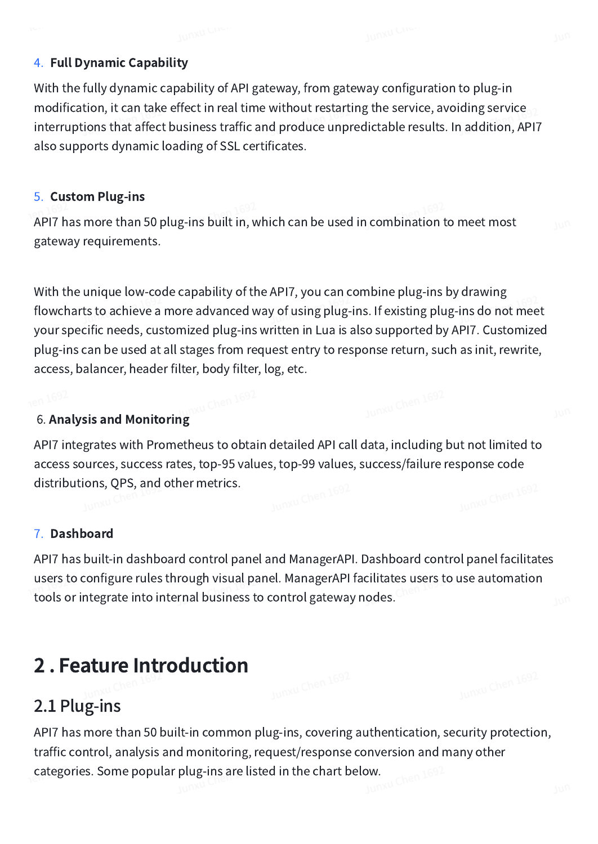#### 4. Full Dynamic Capability

With the fully dynamic capability of API gateway, from gateway configuration to plug-in modification, it can take effect in real time without restarting the service, avoiding service interruptions that affect business traffic and produce unpredictable results. In addition, API7 also supports dynamic loading of SSL certificates.

#### 5. Custom Plug-ins

API7 has more than 50 plug-ins built in, which can be used in combination to meet most gateway requirements.

With the unique low-code capability of the API7, you can combine plug-ins by drawing flowcharts to achieve a more advanced way of using plug-ins. If existing plug-ins do not meet your specific needs, customized plug-ins written in Lua is also supported by API7. Customized plug-ins can be used at all stages from request entry to response return, such as init, rewrite, access, balancer, header filter, body filter, log, etc.

# **6. Analysis and Monitoring** Chen 169<sup>6</sup>

API7 integrates with Prometheus to obtain detailed API call data, including but not limited to access sources, success rates, top-95 values, top-99 values, success/failure response code distributions, QPS, and other metrics.

#### 7. Dashboard

API7 has built-in dashboard control panel and ManagerAPI. Dashboard control panel facilitates users to configure rules through visual panel. ManagerAPI facilitates users to use automation tools or integrate into internal business to control gateway nodes.

# 2 . Feature Introduction

# 2.1 Plug-ins

API7 has more than 50 built-in common plug-ins, covering authentication, security protection, traffic control, analysis and monitoring, request/response conversion and many other categories. Some popular plug-ins are listed in the chart below.  $\frac{169}{25}$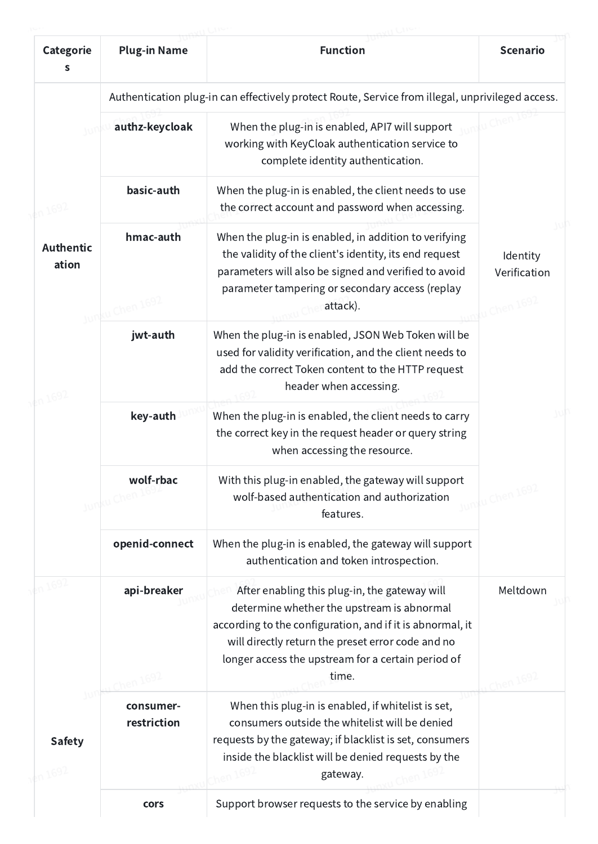| Categorie<br>S            | <b>Plug-in Name</b>         | <b>Function</b>                                                                                                                                                                                                                                                              | <b>Scenario</b>          |
|---------------------------|-----------------------------|------------------------------------------------------------------------------------------------------------------------------------------------------------------------------------------------------------------------------------------------------------------------------|--------------------------|
|                           |                             | Authentication plug-in can effectively protect Route, Service from illegal, unprivileged access.                                                                                                                                                                             |                          |
|                           | authz-keycloak              | When the plug-in is enabled, API7 will support<br>working with KeyCloak authentication service to<br>complete identity authentication.                                                                                                                                       |                          |
|                           | basic-auth                  | When the plug-in is enabled, the client needs to use<br>the correct account and password when accessing.                                                                                                                                                                     |                          |
| <b>Authentic</b><br>ation | hmac-auth<br>w Chen         | When the plug-in is enabled, in addition to verifying<br>the validity of the client's identity, its end request<br>parameters will also be signed and verified to avoid<br>parameter tampering or secondary access (replay<br>attack).                                       | Identity<br>Verification |
|                           | jwt-auth                    | When the plug-in is enabled, JSON Web Token will be<br>used for validity verification, and the client needs to<br>add the correct Token content to the HTTP request<br>header when accessing.                                                                                |                          |
|                           | key-auth                    | When the plug-in is enabled, the client needs to carry<br>the correct key in the request header or query string<br>when accessing the resource.                                                                                                                              |                          |
|                           | wolf-rbac<br>ku Chen<br>JUN | With this plug-in enabled, the gateway will support<br>wolf-based authentication and authorization<br>features.                                                                                                                                                              |                          |
|                           | openid-connect              | When the plug-in is enabled, the gateway will support<br>authentication and token introspection.                                                                                                                                                                             |                          |
| w<br><b>Safety</b>        | api-breaker                 | After enabling this plug-in, the gateway will<br>determine whether the upstream is abnormal<br>according to the configuration, and if it is abnormal, it<br>will directly return the preset error code and no<br>longer access the upstream for a certain period of<br>time. | Meltdown                 |
|                           | consumer-<br>restriction    | When this plug-in is enabled, if whitelist is set,<br>consumers outside the whitelist will be denied<br>requests by the gateway; if blacklist is set, consumers<br>inside the blacklist will be denied requests by the<br>gateway.                                           |                          |
|                           | cors                        | Support browser requests to the service by enabling                                                                                                                                                                                                                          |                          |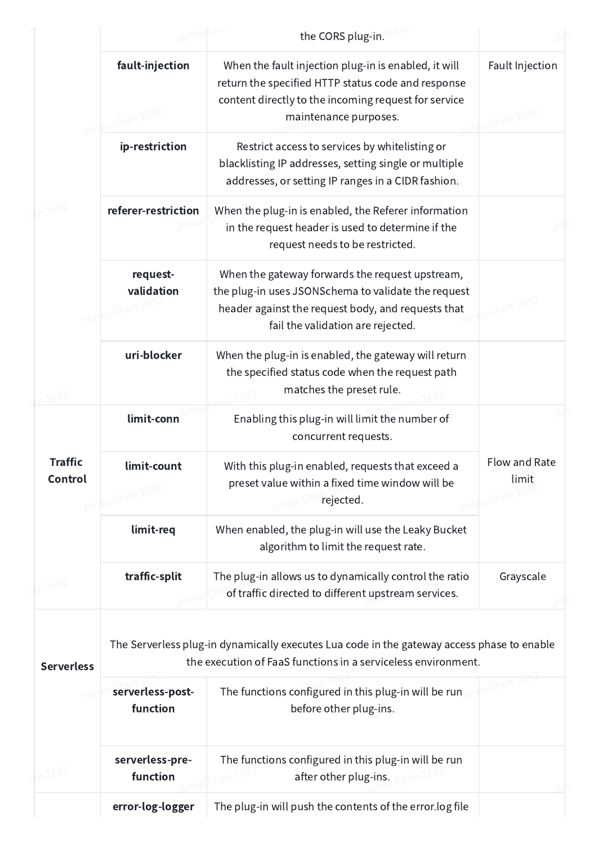|                           |                                 | the CORS plug-in.                                                                                                                                                                                 |                              |
|---------------------------|---------------------------------|---------------------------------------------------------------------------------------------------------------------------------------------------------------------------------------------------|------------------------------|
|                           | fault-injection<br>(u Chen 169) | When the fault injection plug-in is enabled, it will<br>return the specified HTTP status code and response<br>content directly to the incoming request for service<br>maintenance purposes.       | Fault Injection<br>Chen 1692 |
|                           | ip-restriction                  | Restrict access to services by whitelisting or<br>blacklisting IP addresses, setting single or multiple<br>addresses, or setting IP ranges in a CIDR fashion.                                     |                              |
|                           | referer-restriction             | When the plug-in is enabled, the Referer information<br>in the request header is used to determine if the<br>request needs to be restricted.                                                      |                              |
|                           | request-<br>validation          | When the gateway forwards the request upstream,<br>the plug-in uses JSONSchema to validate the request<br>header against the request body, and requests that<br>fail the validation are rejected. |                              |
|                           | uri-blocker                     | When the plug-in is enabled, the gateway will return<br>the specified status code when the request path<br>matches the preset rule.                                                               |                              |
|                           | limit-conn                      | Enabling this plug-in will limit the number of<br>concurrent requests.                                                                                                                            |                              |
| <b>Traffic</b><br>Control | limit-count<br>Junku Chen 1692  | With this plug-in enabled, requests that exceed a<br>preset value within a fixed time window will be<br>rejected.                                                                                 | Flow and Rate<br>limit       |
|                           | limit-req                       | When enabled, the plug-in will use the Leaky Bucket<br>algorithm to limit the request rate.                                                                                                       |                              |
| n1692                     | traffic-split                   | The plug-in allows us to dynamically control the ratio<br>of traffic directed to different upstream services.                                                                                     | Grayscale                    |
| <b>Serverless</b>         |                                 | The Serverless plug-in dynamically executes Lua code in the gateway access phase to enable<br>the execution of FaaS functions in a serviceless environment.                                       |                              |
| w                         | serverless-post-<br>function    | The functions configured in this plug-in will be run<br>before other plug-ins.                                                                                                                    |                              |
|                           | serverless-pre-<br>function     | The functions configured in this plug-in will be run<br>after other plug-ins.                                                                                                                     |                              |
|                           | error-log-logger                | The plug-in will push the contents of the error.log file                                                                                                                                          |                              |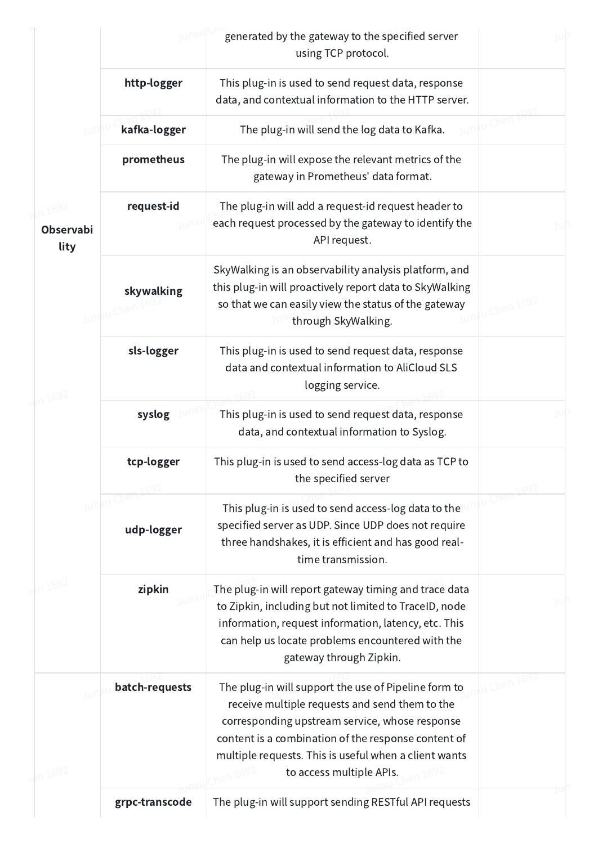|                          |                | generated by the gateway to the specified server<br>using TCP protocol.                                                                                                                                                                                                                              |  |
|--------------------------|----------------|------------------------------------------------------------------------------------------------------------------------------------------------------------------------------------------------------------------------------------------------------------------------------------------------------|--|
|                          | http-logger    | This plug-in is used to send request data, response<br>data, and contextual information to the HTTP server.                                                                                                                                                                                          |  |
|                          | kafka-logger   | The plug-in will send the log data to Kafka.                                                                                                                                                                                                                                                         |  |
|                          | prometheus     | The plug-in will expose the relevant metrics of the<br>gateway in Prometheus' data format.                                                                                                                                                                                                           |  |
| <b>Observabi</b><br>lity | request-id     | The plug-in will add a request-id request header to<br>each request processed by the gateway to identify the<br>API request.                                                                                                                                                                         |  |
|                          | skywalking     | SkyWalking is an observability analysis platform, and<br>this plug-in will proactively report data to SkyWalking<br>so that we can easily view the status of the gateway<br>through SkyWalking.                                                                                                      |  |
|                          | sls-logger     | This plug-in is used to send request data, response<br>data and contextual information to AliCloud SLS<br>logging service.                                                                                                                                                                           |  |
|                          | syslog         | This plug-in is used to send request data, response<br>data, and contextual information to Syslog.                                                                                                                                                                                                   |  |
|                          | tcp-logger     | This plug-in is used to send access-log data as TCP to<br>the specified server                                                                                                                                                                                                                       |  |
|                          | udp-logger     | This plug-in is used to send access-log data to the<br>specified server as UDP. Since UDP does not require<br>three handshakes, it is efficient and has good real-<br>time transmission.                                                                                                             |  |
|                          | zipkin         | The plug-in will report gateway timing and trace data<br>to Zipkin, including but not limited to TraceID, node<br>information, request information, latency, etc. This<br>can help us locate problems encountered with the<br>gateway through Zipkin.                                                |  |
|                          | batch-requests | The plug-in will support the use of Pipeline form to<br>receive multiple requests and send them to the<br>corresponding upstream service, whose response<br>content is a combination of the response content of<br>multiple requests. This is useful when a client wants<br>to access multiple APIs. |  |
|                          | grpc-transcode | The plug-in will support sending RESTful API requests                                                                                                                                                                                                                                                |  |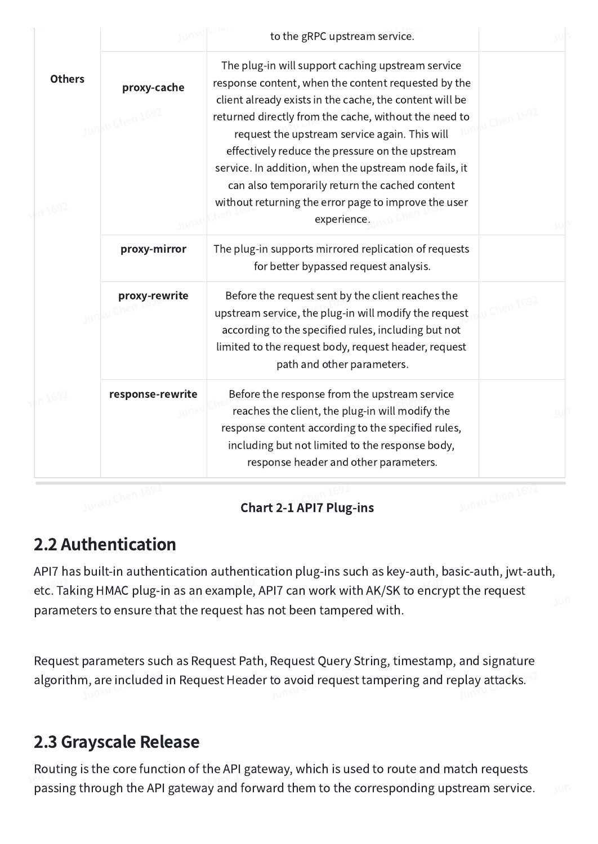|               |                                | to the gRPC upstream service.                                                                                                                                                                                                                                                                                                                                                                                                                |                 |
|---------------|--------------------------------|----------------------------------------------------------------------------------------------------------------------------------------------------------------------------------------------------------------------------------------------------------------------------------------------------------------------------------------------------------------------------------------------------------------------------------------------|-----------------|
| <b>Others</b> | proxy-cache<br>Junku Chen 1692 | The plug-in will support caching upstream service<br>response content, when the content requested by the<br>client already exists in the cache, the content will be<br>returned directly from the cache, without the need to<br>request the upstream service again. This will<br>effectively reduce the pressure on the upstream<br>service. In addition, when the upstream node fails, it<br>can also temporarily return the cached content | u Chen 1692     |
| ln 1692       |                                | without returning the error page to improve the user<br>experience.                                                                                                                                                                                                                                                                                                                                                                          |                 |
|               | proxy-mirror                   | The plug-in supports mirrored replication of requests<br>for better bypassed request analysis.                                                                                                                                                                                                                                                                                                                                               |                 |
|               | proxy-rewrite<br>JUT           | Before the request sent by the client reaches the<br>upstream service, the plug-in will modify the request<br>according to the specified rules, including but not<br>limited to the request body, request header, request<br>path and other parameters.                                                                                                                                                                                      | hen $1692$      |
|               | response-rewrite               | Before the response from the upstream service<br>reaches the client, the plug-in will modify the<br>response content according to the specified rules,<br>including but not limited to the response body,<br>response header and other parameters.                                                                                                                                                                                           |                 |
|               | Junxu Chen 1692                | <b>Chart 2-1 API7 Plug-ins</b>                                                                                                                                                                                                                                                                                                                                                                                                               | Junxu Chen 1692 |

#### Chart 2-1 API7 Plug-ins

# 2.2 Authentication

API7 has built-in authentication authentication plug-ins such as key-auth, basic-auth, jwt-auth, etc. Taking HMAC plug-in as an example, API7 can work with AK/SK to encrypt the request parameters to ensure that the request has not been tampered with.

Request parameters such as Request Path, Request Query String, timestamp, and signature algorithm, are included in Request Header to avoid request tampering and replay attacks.

### 2.3 Grayscale Release

Routing is the core function of the API gateway, which is used to route and match requests passing through the API gateway and forward them to the corresponding upstream service.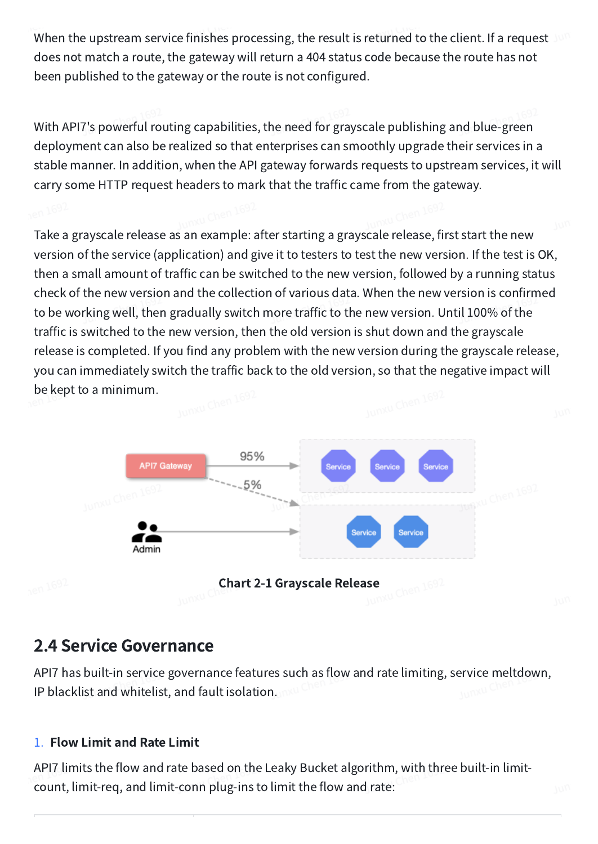When the upstream service finishes processing, the result is returned to the client. If a request does not match a route, the gateway will return a 404 status code because the route has not been published to the gateway or the route is not configured.

With API7's powerful routing capabilities, the need for grayscale publishing and blue-green deployment can also be realized so that enterprises can smoothly upgrade their services in a stable manner. In addition, when the API gateway forwards requests to upstream services, it will carry some HTTP request headers to mark that the traffic came from the gateway.

Take a grayscale release as an example: after starting a grayscale release, first start the new version of the service (application) and give it to testers to test the new version. If the test is OK, then a small amount of traffic can be switched to the new version, followed by a running status check of the new version and the collection of various data. When the new version is confirmed to be working well, then gradually switch more traffic to the new version. Until 100% of the traffic is switched to the new version, then the old version is shut down and the grayscale release is completed. If you find any problem with the new version during the grayscale release, you can immediately switch the traffic back to the old version, so that the negative impact will be kept to a minimum.



# 2.4 Service Governance

API7 has built-in service governance features such as flow and rate limiting, service meltdown, IP blacklist and whitelist, and fault isolation.

#### 1. Flow Limit and Rate Limit

API7 limits the flow and rate based on the Leaky Bucket algorithm, with three built-in limitcount, limit-req, and limit-conn plug-ins to limit the flow and rate: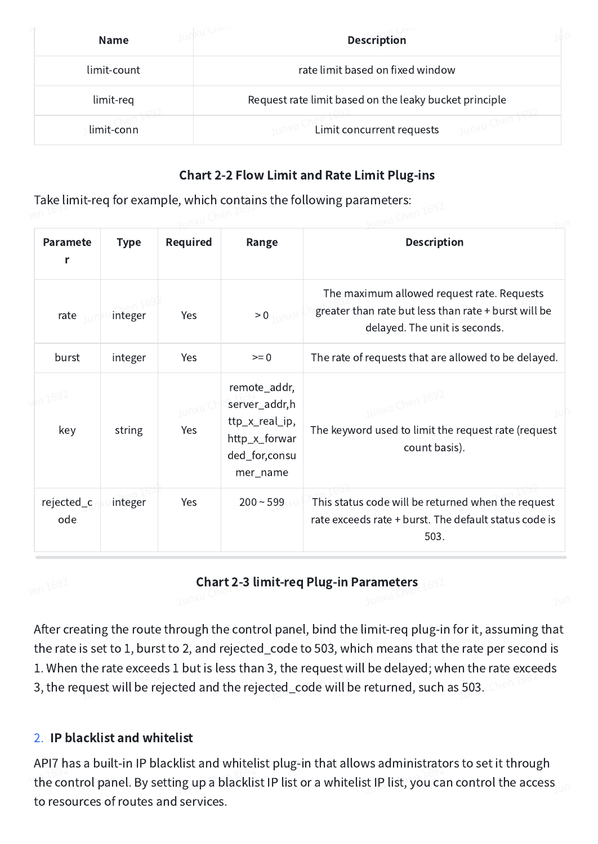| <b>Name</b>                                     | <b>Description</b>                                     |  |
|-------------------------------------------------|--------------------------------------------------------|--|
| rate limit based on fixed window<br>limit-count |                                                        |  |
| limit-req                                       | Request rate limit based on the leaky bucket principle |  |
| limit-conn                                      | Limit concurrent requests                              |  |

#### Chart 2-2 Flow Limit and Rate Limit Plug-ins

Take limit-req for example, which contains the following parameters:

| <b>Paramete</b><br>r | <b>Type</b> | <b>Required</b> | Range                                                                                         | <b>Description</b>                                                                                                                  |
|----------------------|-------------|-----------------|-----------------------------------------------------------------------------------------------|-------------------------------------------------------------------------------------------------------------------------------------|
| rate                 | integer     | Yes             | > 0                                                                                           | The maximum allowed request rate. Requests<br>greater than rate but less than rate + burst will be<br>delayed. The unit is seconds. |
| burst                | integer     | Yes             | $>= 0$                                                                                        | The rate of requests that are allowed to be delayed.                                                                                |
| key                  | string      | Yes             | remote_addr,<br>server_addr,h<br>ttp_x_real_ip,<br>http_x_forwar<br>ded_for,consu<br>mer_name | u Chen 169.<br>The keyword used to limit the request rate (request<br>count basis).                                                 |
| rejected_c<br>ode    | integer     | Yes             | $200 - 599$                                                                                   | This status code will be returned when the request<br>rate exceeds rate + burst. The default status code is<br>503.                 |

#### Chart 2-3 limit-req Plug-in Parameters

After creating the route through the control panel, bind the limit-req plug-in for it, assuming that the rate is set to 1, burst to 2, and rejected\_code to 503, which means that the rate per second is 1. When the rate exceeds 1 but is less than 3, the request will be delayed; when the rate exceeds 3, the request will be rejected and the rejected\_code will be returned, such as 503.

#### 2. IP blacklist and whitelist

API7 has a built-in IP blacklist and whitelist plug-in that allows administrators to set it through the control panel. By setting up a blacklist IP list or a whitelist IP list, you can control the access to resources of routes and services.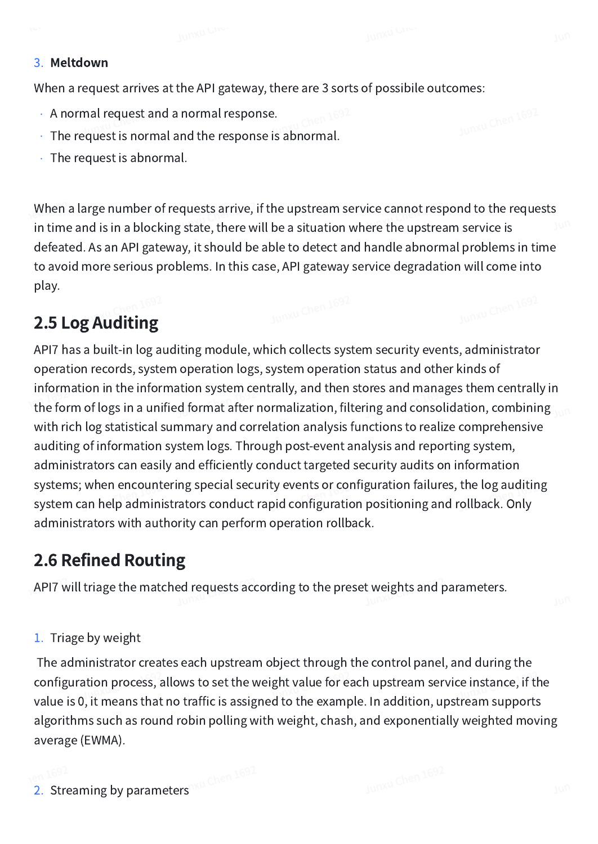#### 3. Meltdown

When a request arrives at the API gateway, there are 3 sorts of possibile outcomes:

- A normal request and a normal response.
- The request is normal and the response is abnormal.
- The request is abnormal.

When a large number of requests arrive, if the upstream service cannot respond to the requests in time and is in a blocking state, there will be a situation where the upstream service is defeated. As an API gateway, it should be able to detect and handle abnormal problems in time to avoid more serious problems. In this case, API gateway service degradation will come into play.

# 2.5 Log Auditing

API7 has a built-in log auditing module, which collects system security events, administrator operation records, system operation logs, system operation status and other kinds of information in the information system centrally, and then stores and manages them centrally in the form of logs in a unified format after normalization, filtering and consolidation, combining with rich log statistical summary and correlation analysis functions to realize comprehensive auditing of information system logs. Through post-event analysis and reporting system, administrators can easily and efficiently conduct targeted security audits on information systems; when encountering special security events or configuration failures, the log auditing system can help administrators conduct rapid configuration positioning and rollback. Only administrators with authority can perform operation rollback.

# 2.6 Refined Routing

API7 will triage the matched requests according to the preset weights and parameters.

#### 1. Triage by weight

The administrator creates each upstream object through the control panel, and during the configuration process, allows to set the weight value for each upstream service instance, if the value is 0, it means that no traffic is assigned to the example. In addition, upstream supports algorithms such as round robin polling with weight, chash, and exponentially weighted moving average (EWMA).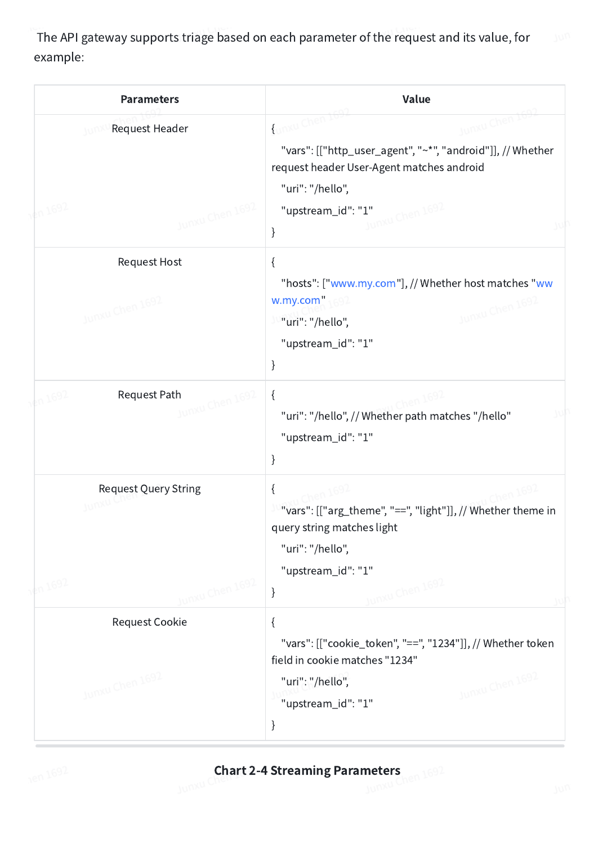The API gateway supports triage based on each parameter of the request and its value, for example:

| <b>Parameters</b>                                                | Value                                                                                                                                                                                                |  |
|------------------------------------------------------------------|------------------------------------------------------------------------------------------------------------------------------------------------------------------------------------------------------|--|
| Request Header<br>$kn$ 1692<br>Junxu Chen 1692                   | Junxu Chen I<br>Junxu Chen 1<br>"vars": [["http_user_agent", "~*", "android"]], // Whether<br>request header User-Agent matches android<br>"uri": "/hello",<br>Junxu Chen 1692<br>"upstream_id": "1" |  |
|                                                                  | }                                                                                                                                                                                                    |  |
| <b>Request Host</b><br>Junxu Chen 1692                           | $\{$<br>"hosts": ["www.my.com"], // Whether host matches "ww<br>w.my.com<br>Junxu Chen 1692<br>"uri": "/hello",<br>"upstream_id": "1"<br>}                                                           |  |
| Request Path<br>$\frac{1}{2}n 1692$<br>Junxu Chen 1692           | $\{$<br>"uri": "/hello", // Whether path matches "/hello"<br>"upstream_id": "1"<br>}                                                                                                                 |  |
| <b>Request Query String</b><br>Junxu Chen 1692<br><b>An 1692</b> | $\{$<br>"vars": [["arg_theme", "==", "light"]], // Whether theme in<br>query string matches light<br>"uri": "/hello",<br>"upstream_id": "1"<br>Junxu Chen 1692<br>}                                  |  |
| <b>Request Cookie</b>                                            | $\{$<br>"vars": [["cookie_token", "==", "1234"]], // Whether token<br>field in cookie matches "1234"                                                                                                 |  |
| Junxu Chen 1692                                                  | Junxu Chen 1692<br>"uri": "/hello",<br>"upstream_id": "1"<br>$\}$                                                                                                                                    |  |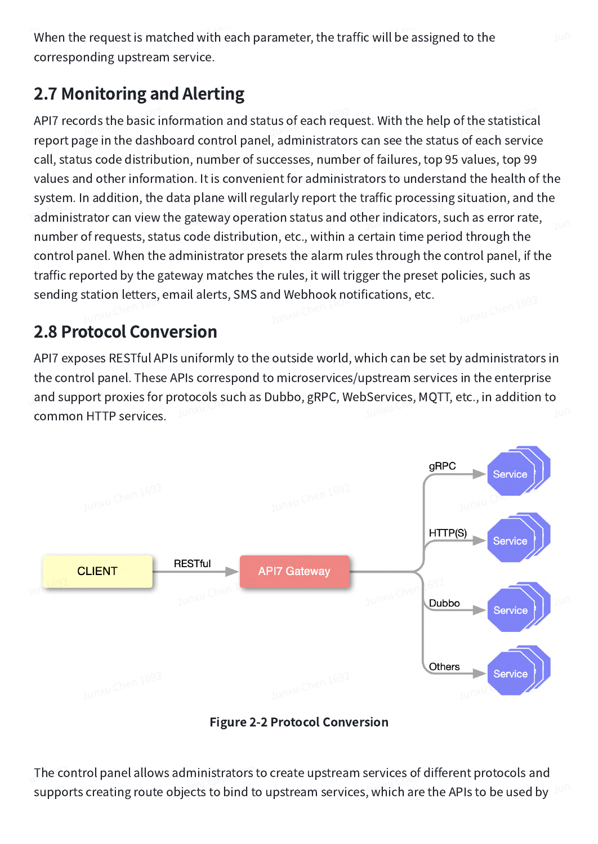When the request is matched with each parameter, the traffic will be assigned to the corresponding upstream service.

# 2.7 Monitoring and Alerting

API7 records the basic information and status of each request. With the help of the statistical report page in the dashboard control panel, administrators can see the status of each service call, status code distribution, number of successes, number of failures, top 95 values, top 99 values and other information. It is convenient for administrators to understand the health of the system. In addition, the data plane will regularly report the traffic processing situation, and the administrator can view the gateway operation status and other indicators, such as error rate, number of requests, status code distribution, etc., within a certain time period through the control panel. When the administrator presets the alarm rules through the control panel, if the traffic reported by the gateway matches the rules, it will trigger the preset policies, such as sending station letters, email alerts, SMS and Webhook notifications, etc.

# 2.8 Protocol Conversion

API7 exposes RESTful APIs uniformly to the outside world, which can be set by administrators in the control panel. These APIs correspond to microservices/upstream services in the enterprise and support proxies for protocols such as Dubbo, gRPC, WebServices, MQTT, etc., in addition to common HTTP services.



Figure 2-2 Protocol Conversion

The control panel allows administrators to create upstream services of different protocols and supports creating route objects to bind to upstream services, which are the APIs to be used by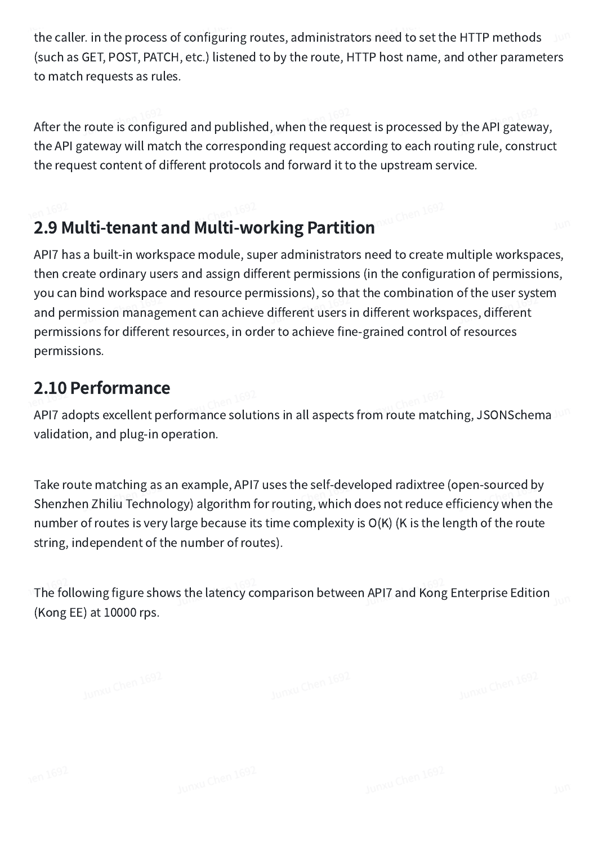the caller. in the process of configuring routes, administrators need to set the HTTP methods (such as GET, POST, PATCH, etc.) listened to by the route, HTTP host name, and other parameters to match requests as rules.

After the route is configured and published, when the request is processed by the API gateway, the API gateway will match the corresponding request according to each routing rule, construct the request content of different protocols and forward it to the upstream service.

# 2.9 Multi-tenant and Multi-working Partition

API7 has a built-in workspace module, super administrators need to create multiple workspaces, then create ordinary users and assign different permissions (in the configuration of permissions, you can bind workspace and resource permissions), so that the combination of the user system and permission management can achieve different users in different workspaces, different permissions for different resources, in order to achieve fine-grained control of resources permissions.

# 2.10 Performance

API7 adopts excellent performance solutions in all aspects from route matching, JSONSchema validation, and plug-in operation.

Take route matching as an example, API7 uses the self-developed radixtree (open-sourced by Shenzhen Zhiliu Technology) algorithm for routing, which does not reduce efficiency when the number of routes is very large because its time complexity is O(K) (K is the length of the route string, independent of the number of routes).

The following figure shows the latency comparison between API7 and Kong Enterprise Edition (Kong EE) at 10000 rps.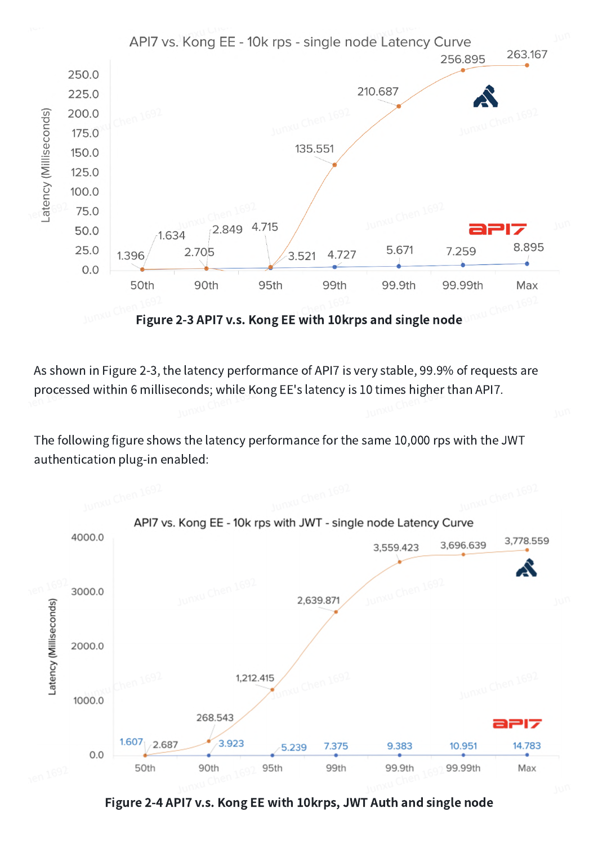

As shown in Figure 2-3, the latency performance of API7 is very stable, 99.9% of requests are processed within 6 milliseconds; while Kong EE's latency is 10 times higher than API7.

The following figure shows the latency performance for the same 10,000 rps with the JWT authentication plug-in enabled:



Figure 2-4 API7 v.s. Kong EE with 10krps, JWT Auth and single node